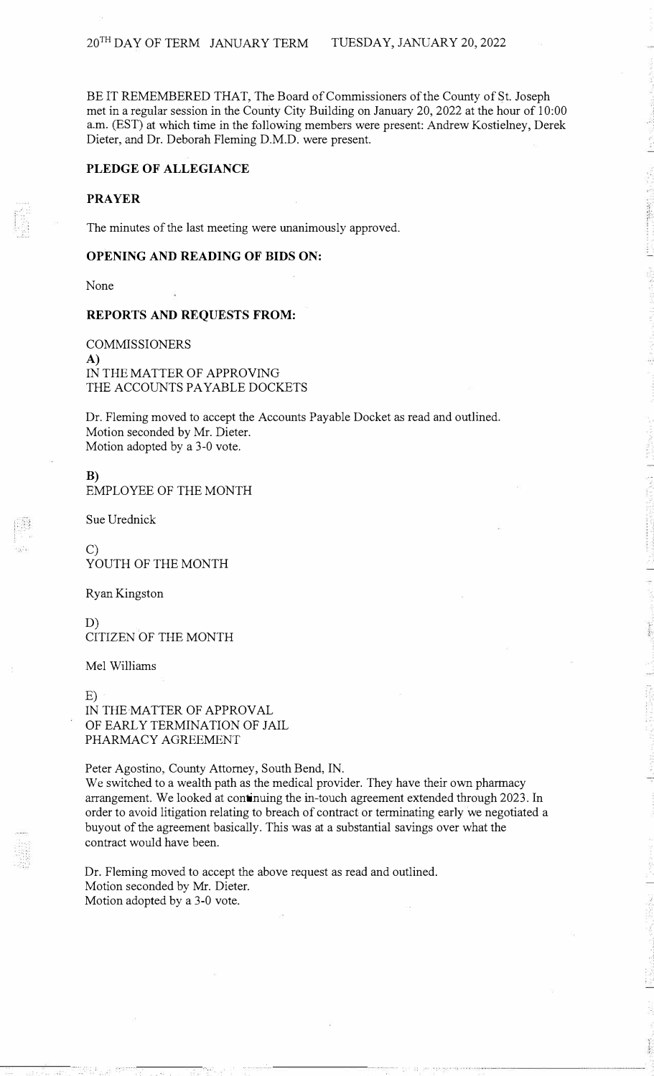BE IT REMEMBERED THAT, The Board of Commissioners of the County of St. Joseph met in a regular session in the County City Building on January 20, 2022 at the hour of 10:00 a.m. (EST) at which time in the following members were present: Andrew Kostielney, Derek Dieter, and Dr. Deborah Fleming D.M.D. were present.

## **PLEDGE OF ALLEGIANCE**

# **PRAYER**

The minutes of the last meeting were unanimously approved.

#### **OPENING AND READING OF BIDS ON:**

None

#### **REPORTS AND REQUESTS FROM:**

COMMISSIONERS **A)**  IN THE MATTER OF APPROVING THE ACCOUNTS PAYABLE DOCKETS

Dr. Fleming moved to accept the Accounts Payable Docket as read and outlined. Motion seconded by Mr. Dieter. Motion adopted by a 3-0 vote.

**B)**  EMPLOYEE OF THE MONTH

Sue Urednick

C) YOUTH OF THE MONTH

Ryan Kingston

D) CITIZEN OF THE MONTH

Mel Williams

E) IN THE MATTER OF APPROVAL OF EARLY TERMINATION OF JAIL PHARMACY AGREEMENT

Peter Agostino, County Attorney, South Bend, IN.

We switched to a wealth path as the medical provider. They have their own pharmacy arrangement. We looked at continuing the in-touch agreement extended through 2023. In order to avoid litigation relating to breach of contract or terminating early we negotiated a buyout of the agreement basically. This was at a substantial savings over what the contract would have been.

Dr. Fleming moved to accept the above request as read and outlined. Motion seconded by Mr. Dieter. Motion adopted by a 3-0 vote.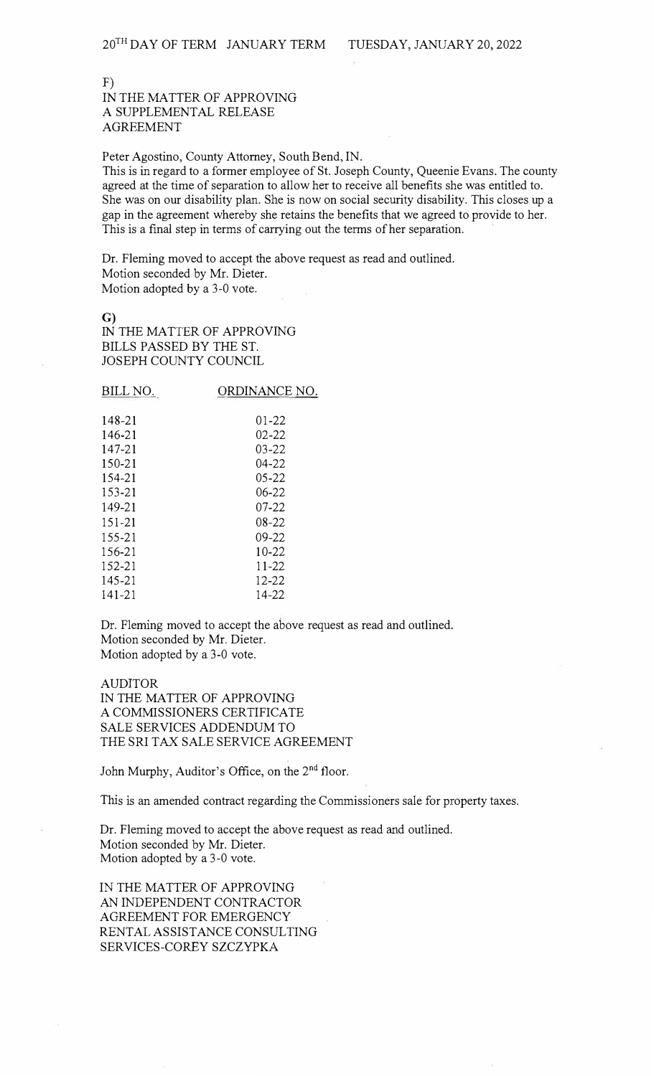F) IN THE MATTER OF APPROVING A SUPPLEMENTAL RELEASE AGREEMENT

Peter Agostino, County Attorney, South Bend, IN.

This is in regard to a former employee of St. Joseph County, Queenie Evans. The county agreed at the time of separation to allow her to receive all benefits she was entitled to. She was on our disability plan. She is now on social security disability. This closes up a gap in the agreement whereby she retains the benefits that we agreed to provide to her. This is a final step in terms of carrying out the terms of her separation.

Dr. Fleming moved to accept the above request as read and outlined. Motion seconded by Mr. Dieter. Motion adopted by a 3-0 vote.

G) IN THE MATTER OF APPROVING BILLS PASSED BY THE ST. JOSEPH COUNTY COUNCIL

BILL NO. 148-21 146-21 147-21 150-21 154-21 153-21 149-21 151-21 155-21 156-21 152-21 145-21 141-21 ORDINANCE NO. 01-22 02-22 03-22 04-22 05-22 06-22 07-22 08-22 09-22 10-22 11-22 12-2214-22

Dr. Fleming moved to accept the above request as read and outlined. Motion seconded by Mr. Dieter. Motion adopted by a 3-0 vote.

AUDITOR IN THE MATTER OF APPROVING A COMMISSIONERS CERTIFICATE SALE SERVICES ADDENDUM TO THE SRI TAX SALE SERVICE AGREEMENT

John Murphy, Auditor's Office, on the 2<sup>nd</sup> floor.

This is an amended contract regarding the Commissioners sale for property taxes.

Dr. Fleming moved to accept the above request as read and outlined. Motion seconded by Mr. Dieter. Motion adopted by a 3-0 vote.

IN THE MATTER OF APPROVING AN INDEPENDENT CONTRACTOR AGREEMENT FOR EMERGENCY RENTAL ASSISTANCE CONSULTING SERVICES-COREY SZCZYPKA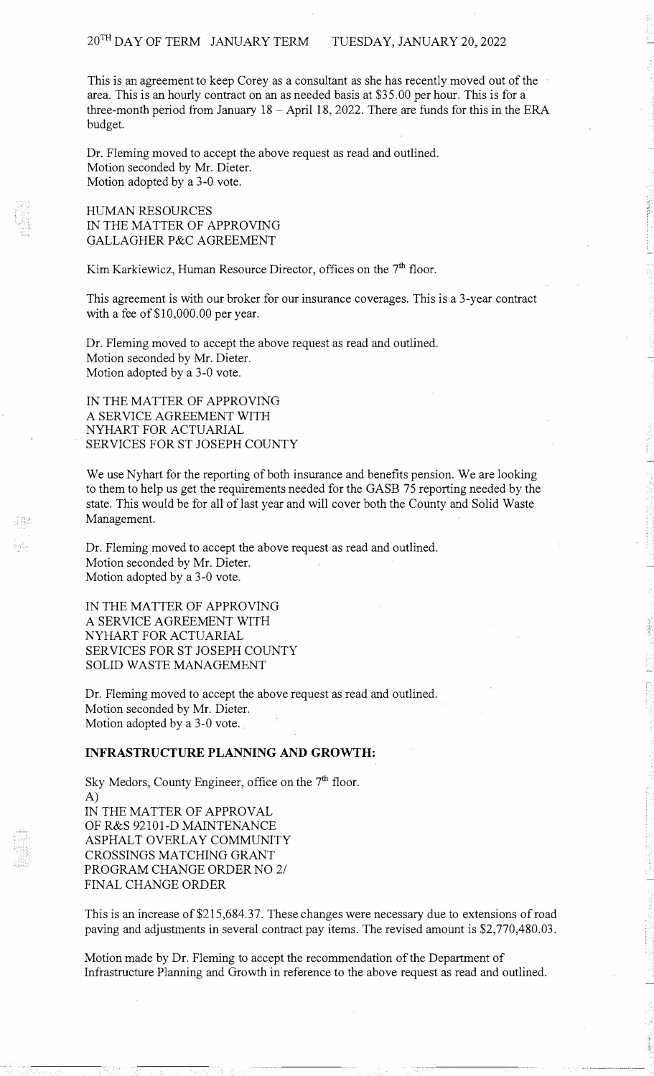This is an agreement to keep Corey as a consultant as she has recently moved out of the area. This is an hourly contract on an as needed basis at \$35.00 per hour. This is for a three-month period from January  $18 -$  April 18, 2022. There are funds for this in the ERA budget.

Dr. Fleming moved to accept the above request as read and outlined. Motion seconded by Mr. Dieter. Motion adopted by a 3-0 vote.

HUMAN RESOURCES IN THE MATTER OF APPROVING GALLAGHER P&C AGREEMENT

Kim Karkiewicz, Human Resource Director, offices on the 7<sup>th</sup> floor.

This agreement is with our broker for our insurance coverages. This is a 3-year contract with a fee of \$10,000.00 per year.

Dr. Fleming moved to accept the above request as read and outlined. Motion seconded by Mr. Dieter. Motion adopted by a 3-0 vote.

IN THE MATTER OF APPROVING A SERVICE AGREEMENT WITH NYHART FOR ACTUARIAL SERVICES FOR ST JOSEPH COUNTY

We use Nyhart for the reporting of both insurance and benefits pension. We are looking to them to help us get the requirements needed for the GASB 75 reporting needed by the state. This would be for all of last year and will cover both the County and Solid Waste Management.

Dr. Fleming moved to accept the above request as read and outlined. Motion seconded by Mr. Dieter. Motion adopted by a 3-0 vote.

IN THE MATTER OF APPROVING A SERVICE AGREEMENT WITH NYHART FOR ACTUARIAL SERVICES FOR ST JOSEPH COUNTY SOLID WASTE MANAGEMENT

Dr. Fleming moved to accept the above request as read and outlined. Motion seconded by Mr. Dieter. Motion adopted by a 3-0 vote.

## **INFRASTRUCTURE PLANNING AND GROWTH:**

Sky Medors, County Engineer, office on the 7<sup>th</sup> floor. A) IN THE MATTER OF APPROVAL OF R&S 92101-D MAINTENANCE ASPHALT OVERLAY COMMUNITY CROSSINGS MATCHING GRANT PROGRAM CHANGE ORDER NO 2/ FINAL CHANGE ORDER

This is an increase of \$215,684.37. These changes were necessary due to extensions of road paving and adjustments in several contract pay items. The revised amount is \$2,770,480.03.

Motion made by Dr. Fleming to accept the recommendation of the Department of Infrastructure Planning and Growth in reference to the above request as read and outlined.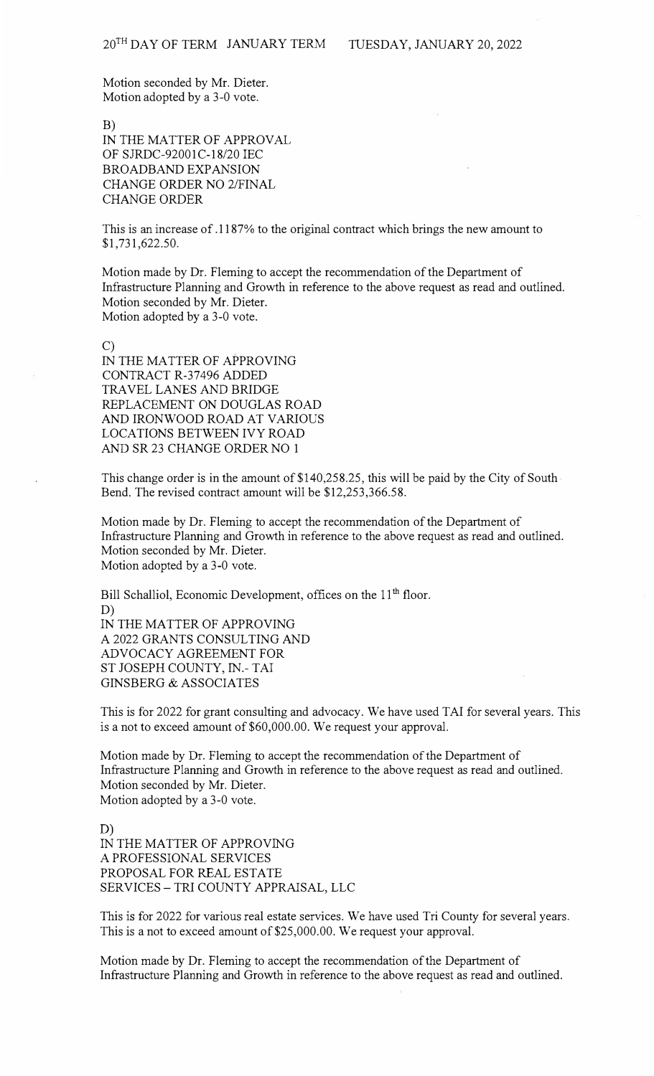Motion seconded by Mr. Dieter. Motion adopted by a 3-0 vote.

B)

IN THE MATTER OF APPROVAL OF SJRDC-92001C-18/20 IEC BROADBAND EXPANSION CHANGE ORDER NO 2/FINAL CHANGE ORDER

This is an increase of .1187% to the original contract which brings the new amount to \$1,731,622.50.

Motion made by Dr. Fleming to accept the recommendation of the Department of Infrastructure Planning and Growth in reference to the above request as read and outlined. Motion seconded by Mr. Dieter. Motion adopted by a 3-0 vote.

C) IN THE MATTER OF APPROVING CONTRACT R-37496 ADDED TRAVEL LANES AND BRIDGE REPLACEMENT ON DOUGLAS ROAD AND IRONWOOD ROAD AT VARIOUS LOCATIONS BETWEEN IVY ROAD AND SR 23 CHANGE ORDER NO 1

This change order is in the amount of \$140,258.25, this will be paid by the City of South Bend. The revised contract amount will be \$12,253,366.58.

Motion made by Dr. Fleming to accept the recommendation of the Department of Infrastructure Planning and Growth in reference to the above request as read and outlined. Motion seconded by Mr. Dieter. Motion adopted by a 3-0 vote.

Bill Schalliol, Economic Development, offices on the 11<sup>th</sup> floor. D) IN THE MATTER OF APPROVING A 2022 GRANTS CONSULTING AND ADVOCACY AGREEMENT FOR ST JOSEPH COUNTY, IN.- TAI GINSBERG & ASSOCIATES

This is for 2022 for grant consulting and advocacy. We have used TAI for several years. This is a not to exceed amount of \$60,000.00. We request your approval.

Motion made by Dr. Fleming to accept the recommendation of the Department of Infrastructure Planning and Growth in reference to the above request as read and outlined. Motion seconded by Mr. Dieter. Motion adopted by a 3-0 vote.

D) IN THE MATTER OF APPROVING A PROFESSIONAL SERVICES PROPOSAL FOR REAL ESTATE SERVICES - TRI COUNTY APPRAISAL, LLC

This is for 2022 for various real estate services. We have used Tri County for several years. This is a not to exceed amount of \$25,000.00. We request your approval.

Motion made by Dr. Fleming to accept the recommendation of the Department of Infrastructure Planning and Growth in reference to the above request as read and outlined.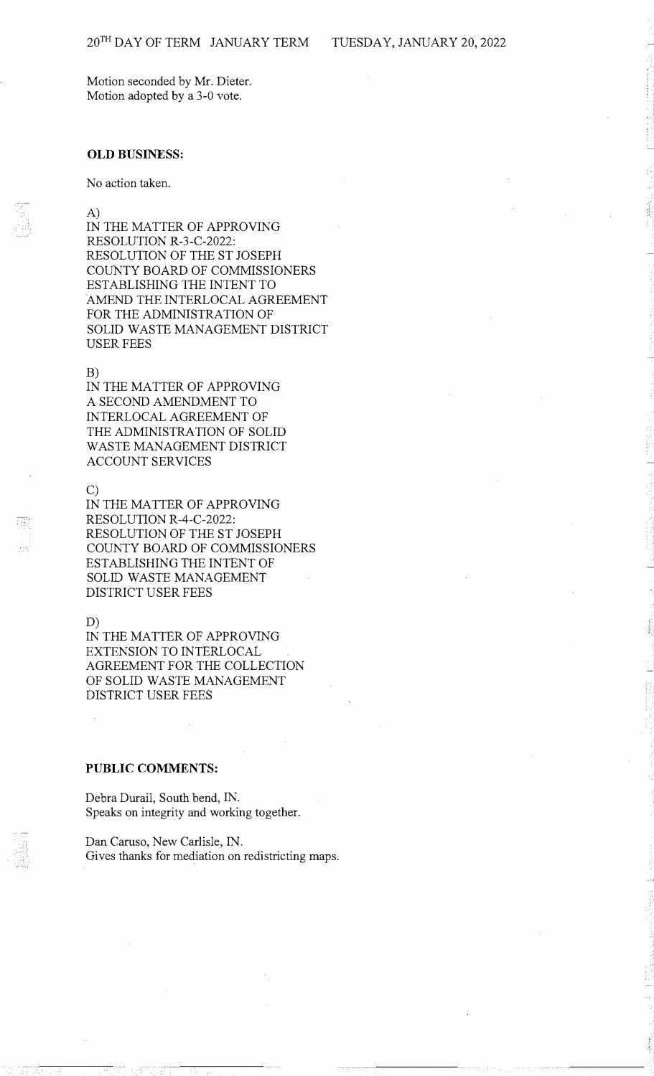Motion seconded by Mr. Dieter. Motion adopted by a 3-0 vote.

## **OLD BUSINESS:**

No action taken.

A) IN THE MATTER OF APPROVING RESOLUTION R-3-C-2022: RESOLUTION OF THE ST JOSEPH COUNTY BOARD OF COMMISSIONERS ESTABLISHING THE INTENT TO AMEND THE INTERLOCAL AGREEMENT FOR THE ADMINISTRATION OF SOLID WASTE MANAGEMENT DISTRICT USER FEES

#### B)

IN THE MATTER OF APPROVING A SECOND AMENDMENT TO INTERLOCAL AGREEMENT OF THE ADMINISTRATION OF SOLID WASTE MANAGEMENT DISTRICT ACCOUNT SERVICES

#### C)

IN THE MATTER OF APPROVING RESOLUTION R-4-C-2022: RESOLUTION OF THE ST JOSEPH COUNTY BOARD OF COMMISSIONERS ESTABLISHING THE INTENT OF SOLID WASTE MANAGEMENT DISTRICT USER FEES

## D)

IN THE MATTER OF APPROVING EXTENSION TO INTERLOCAL AGREEMENT FOR THE COLLECTION OF SOLID WASTE MANAGEMENT DISTRICT USER FEES

# **PUBLIC COMMENTS:**

Debra Durail, South bend, IN. Speaks on integrity and working together.

Dan Caruso, New Carlisle, IN. Gives thanks for mediation on redistricting maps.